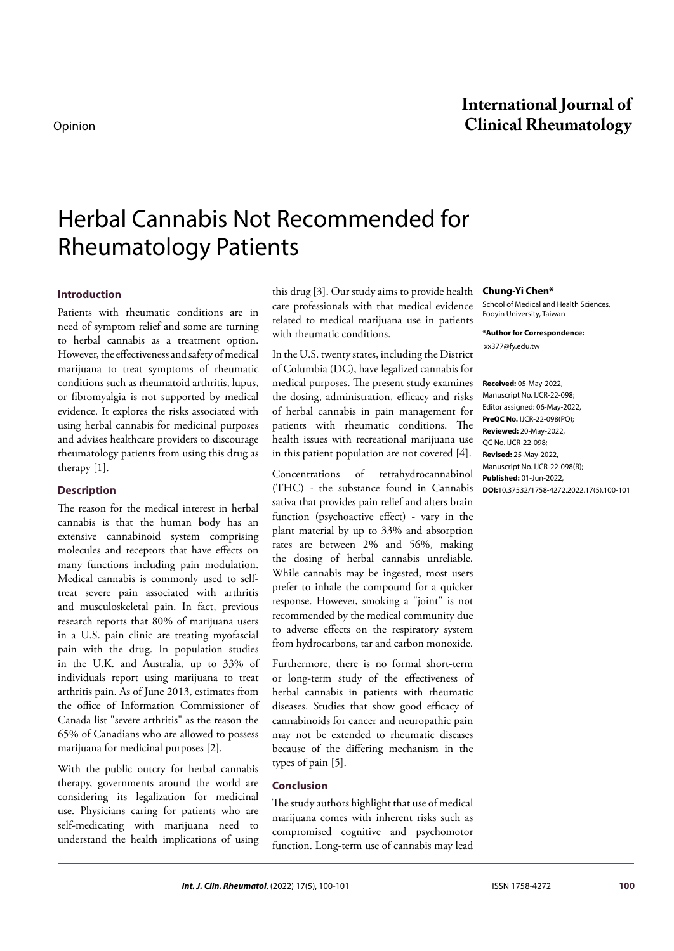# Herbal Cannabis Not Recommended for Rheumatology Patients

# **Introduction**

Patients with rheumatic conditions are in need of symptom relief and some are turning to herbal cannabis as a treatment option. However, the effectiveness and safety of medical marijuana to treat symptoms of rheumatic conditions such as rheumatoid arthritis, lupus, or fibromyalgia is not supported by medical evidence. It explores the risks associated with using herbal cannabis for medicinal purposes and advises healthcare providers to discourage rheumatology patients from using this drug as therapy [1].

#### **Description**

The reason for the medical interest in herbal cannabis is that the human body has an extensive cannabinoid system comprising molecules and receptors that have effects on many functions including pain modulation. Medical cannabis is commonly used to selftreat severe pain associated with arthritis and musculoskeletal pain. In fact, previous research reports that 80% of marijuana users in a U.S. pain clinic are treating myofascial pain with the drug. In population studies in the U.K. and Australia, up to 33% of individuals report using marijuana to treat arthritis pain. As of June 2013, estimates from the office of Information Commissioner of Canada list "severe arthritis" as the reason the 65% of Canadians who are allowed to possess marijuana for medicinal purposes [2].

With the public outcry for herbal cannabis therapy, governments around the world are considering its legalization for medicinal use. Physicians caring for patients who are self-medicating with marijuana need to understand the health implications of using this drug [3]. Our study aims to provide health care professionals with that medical evidence related to medical marijuana use in patients with rheumatic conditions.

In the U.S. twenty states, including the District of Columbia (DC), have legalized cannabis for medical purposes. The present study examines the dosing, administration, efficacy and risks of herbal cannabis in pain management for patients with rheumatic conditions. The health issues with recreational marijuana use in this patient population are not covered [4].

Concentrations of tetrahydrocannabinol (THC) - the substance found in Cannabis sativa that provides pain relief and alters brain function (psychoactive effect) - vary in the plant material by up to 33% and absorption rates are between 2% and 56%, making the dosing of herbal cannabis unreliable. While cannabis may be ingested, most users prefer to inhale the compound for a quicker response. However, smoking a "joint" is not recommended by the medical community due to adverse effects on the respiratory system from hydrocarbons, tar and carbon monoxide.

Furthermore, there is no formal short-term or long-term study of the effectiveness of herbal cannabis in patients with rheumatic diseases. Studies that show good efficacy of cannabinoids for cancer and neuropathic pain may not be extended to rheumatic diseases because of the differing mechanism in the types of pain [5].

### **Conclusion**

The study authors highlight that use of medical marijuana comes with inherent risks such as compromised cognitive and psychomotor function. Long-term use of cannabis may lead

#### **Chung-Yi Chen\***

School of Medical and Health Sciences, Fooyin University, Taiwan

**\*Author for Correspondence:**   [xx377@fy.edu.tw](mailto:xx377@fy.edu.tw)

**Received:** 05-May-2022, Manuscript No. IJCR-22-098; Editor assigned: 06-May-2022, **PreQC No.** IJCR-22-098(PQ); **Reviewed:** 20-May-2022, QC No. IJCR-22-098; **Revised:** 25-May-2022, Manuscript No. IJCR-22-098(R); **Published:** 01-Jun-2022, **DOI:**10.37532/1758-4272.2022.17(5).100-101